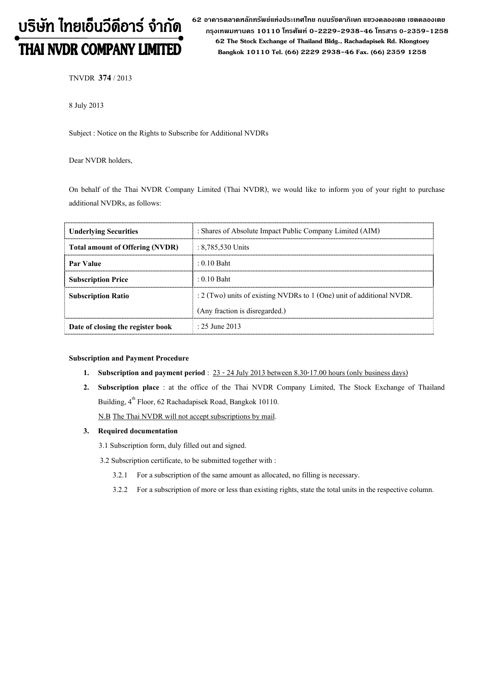# บริษัท ไทยเอ็นวีดีอาร์ จำกัด THAI NVDR COMPANY LIMITED

62 อาดารตลาดหลักทรัพย์แห่งประเทศไทย ถนนรัซดาภิเษก แขวงดลองเตย เขตดลองเตย กรุงเทพมหานดร 10110 โทรศัพท์ 0-2229-2938-46 โทรสาร 0-2359-1258 62 The Stock Exchange of Thailand Bldg., Rachadapisek Rd. Klongtoey Bangkok 10110 Tel. (66) 2229 2938-46 Fax. (66) 2359 1258

TNVDR 374/ 2013

8 July 2013

Subject : Notice on the Rights to Subscribe for Additional NVDRs

Dear NVDR holders,

On behalf of the Thai NVDR Company Limited (Thai NVDR), we would like to inform you of your right to purchase additional NVDRs, as follows:

| <b>Underlying Securities</b>           | : Shares of Absolute Impact Public Company Limited (AIM)              |  |
|----------------------------------------|-----------------------------------------------------------------------|--|
| <b>Total amount of Offering (NVDR)</b> | : $8,785,530$ Units                                                   |  |
| <b>Par Value</b>                       | $: 0.10$ Baht                                                         |  |
| <b>Subscription Price</b>              | $: 0.10$ Baht                                                         |  |
| <b>Subscription Ratio</b>              | : 2 (Two) units of existing NVDRs to 1 (One) unit of additional NVDR. |  |
|                                        | (Any fraction is disregarded.)                                        |  |
| Date of closing the register book      | $\cdot$ 25 June 2013                                                  |  |

#### Subscription and Payment Procedure

- 1. Subscription and payment period :  $23 24$  July 2013 between 8.30-17.00 hours (only business days)
- 2. Subscription place : at the office of the Thai NVDR Company Limited, The Stock Exchange of Thailand Building, 4<sup>th</sup> Floor, 62 Rachadapisek Road, Bangkok 10110.

N.B The Thai NVDR will not accept subscriptions by mail.

#### 3. Required documentation

3.1 Subscription form, duly filled out and signed.

3.2 Subscription certificate, to be submitted together with :

- 3.2.1 For a subscription of the same amount as allocated, no filling is necessary.
- 3.2.2 For a subscription of more or less than existing rights, state the total units in the respective column.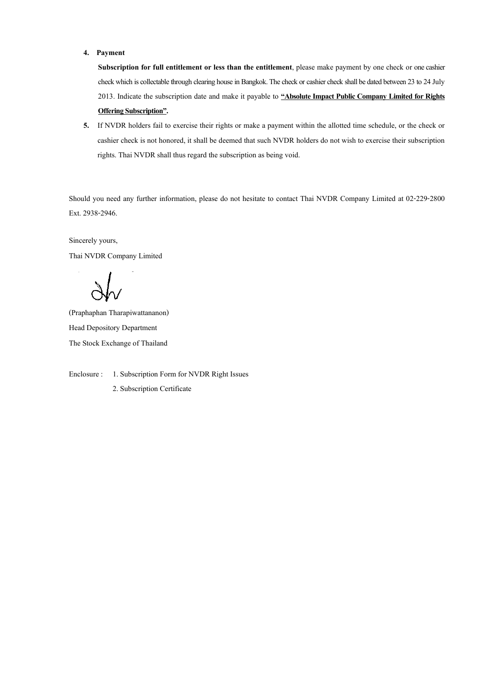## 4. Payment

Subscription for full entitlement or less than the entitlement, please make payment by one check or one cashier check which is collectable through clearing house in Bangkok. The check or cashier check shall be dated between 23 to 24 July 2013. Indicate the subscription date and make it payable to "Absolute Impact Public Company Limited for Rights Offering Subscription".

5. If NVDR holders fail to exercise their rights or make a payment within the allotted time schedule, or the check or cashier check is not honored, it shall be deemed that such NVDR holders do not wish to exercise their subscription rights. Thai NVDR shall thus regard the subscription as being void.

Should you need any further information, please do not hesitate to contact Thai NVDR Company Limited at 02-229-2800 Ext. 2938-2946.

Sincerely yours, Thai NVDR Company Limited

(Praphaphan Tharapiwattananon) Head Depository Department The Stock Exchange of Thailand

Enclosure : 1. Subscription Form for NVDR Right Issues

2. Subscription Certificate